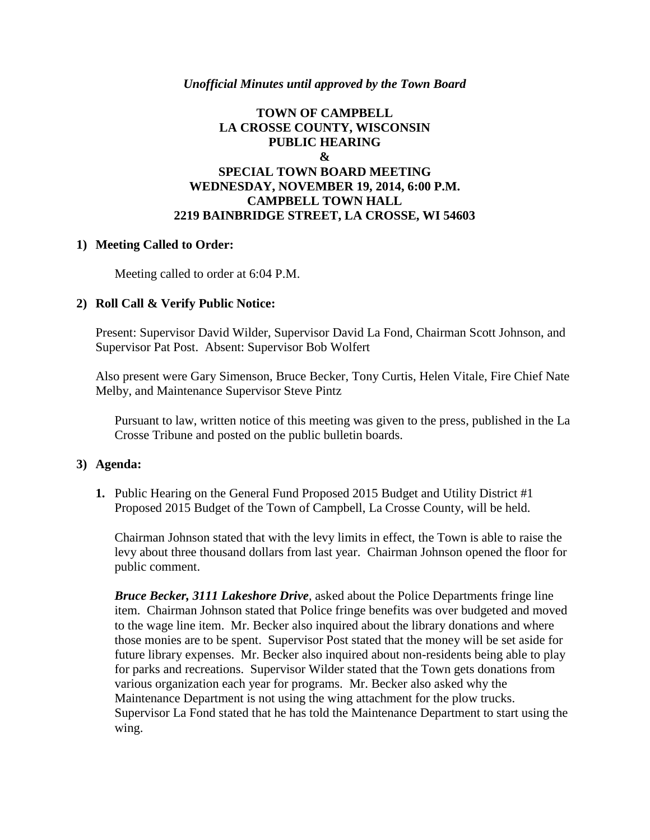#### *Unofficial Minutes until approved by the Town Board*

### **TOWN OF CAMPBELL LA CROSSE COUNTY, WISCONSIN PUBLIC HEARING & SPECIAL TOWN BOARD MEETING WEDNESDAY, NOVEMBER 19, 2014, 6:00 P.M. CAMPBELL TOWN HALL 2219 BAINBRIDGE STREET, LA CROSSE, WI 54603**

#### **1) Meeting Called to Order:**

Meeting called to order at 6:04 P.M.

#### **2) Roll Call & Verify Public Notice:**

Present: Supervisor David Wilder, Supervisor David La Fond, Chairman Scott Johnson, and Supervisor Pat Post. Absent: Supervisor Bob Wolfert

Also present were Gary Simenson, Bruce Becker, Tony Curtis, Helen Vitale, Fire Chief Nate Melby, and Maintenance Supervisor Steve Pintz

Pursuant to law, written notice of this meeting was given to the press, published in the La Crosse Tribune and posted on the public bulletin boards.

#### **3) Agenda:**

**1.** Public Hearing on the General Fund Proposed 2015 Budget and Utility District #1 Proposed 2015 Budget of the Town of Campbell, La Crosse County, will be held.

Chairman Johnson stated that with the levy limits in effect, the Town is able to raise the levy about three thousand dollars from last year. Chairman Johnson opened the floor for public comment.

*Bruce Becker, 3111 Lakeshore Drive*, asked about the Police Departments fringe line item. Chairman Johnson stated that Police fringe benefits was over budgeted and moved to the wage line item. Mr. Becker also inquired about the library donations and where those monies are to be spent. Supervisor Post stated that the money will be set aside for future library expenses. Mr. Becker also inquired about non-residents being able to play for parks and recreations. Supervisor Wilder stated that the Town gets donations from various organization each year for programs. Mr. Becker also asked why the Maintenance Department is not using the wing attachment for the plow trucks. Supervisor La Fond stated that he has told the Maintenance Department to start using the wing.